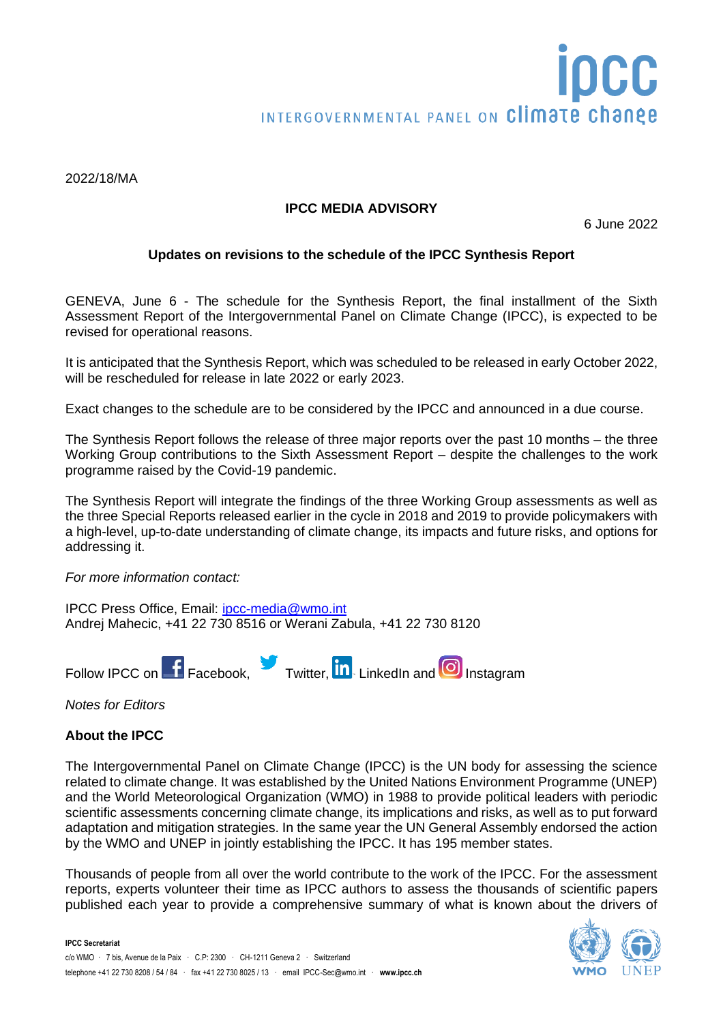#### 2022/18/MA

### **IPCC MEDIA ADVISORY**

6 June 2022

# **Updates on revisions to the schedule of the IPCC Synthesis Report**

GENEVA, June 6 - The schedule for the Synthesis Report, the final installment of the Sixth Assessment Report of the Intergovernmental Panel on Climate Change (IPCC), is expected to be revised for operational reasons.

It is anticipated that the Synthesis Report, which was scheduled to be released in early October 2022, will be rescheduled for release in late 2022 or early 2023.

Exact changes to the schedule are to be considered by the IPCC and announced in a due course.

The Synthesis Report follows the release of three major reports over the past 10 months – the three Working Group contributions to the Sixth Assessment Report – despite the challenges to the work programme raised by the Covid-19 pandemic.

The Synthesis Report will integrate the findings of the three Working Group assessments as well as the three Special Reports released earlier in the cycle in 2018 and 2019 to provide policymakers with a high-level, up-to-date understanding of climate change, its impacts and future risks, and options for addressing it.

*For more information contact:*

IPCC Press Office, Email: [ipcc-media@wmo.int](mailto:ipcc-media@wmo.int) Andrej Mahecic, +41 22 730 8516 or Werani Zabula, +41 22 730 8120



*Notes for Editors*

#### **About the IPCC**

The Intergovernmental Panel on Climate Change (IPCC) is the UN body for assessing the science related to climate change. It was established by the United Nations Environment Programme (UNEP) and the World Meteorological Organization (WMO) in 1988 to provide political leaders with periodic scientific assessments concerning climate change, its implications and risks, as well as to put forward adaptation and mitigation strategies. In the same year the UN General Assembly endorsed the action by the WMO and UNEP in jointly establishing the IPCC. It has 195 member states.

Thousands of people from all over the world contribute to the work of the IPCC. For the assessment reports, experts volunteer their time as IPCC authors to assess the thousands of scientific papers published each year to provide a comprehensive summary of what is known about the drivers of